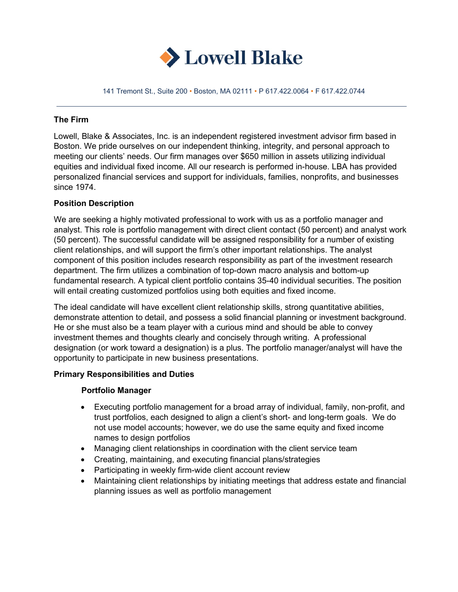

141 Tremont St., Suite 200 • Boston, MA 02111 • P 617.422.0064 • F 617.422.0744

#### **The Firm**

Lowell, Blake & Associates, Inc. is an independent registered investment advisor firm based in Boston. We pride ourselves on our independent thinking, integrity, and personal approach to meeting our clients' needs. Our firm manages over \$650 million in assets utilizing individual equities and individual fixed income. All our research is performed in-house. LBA has provided personalized financial services and support for individuals, families, nonprofits, and businesses since 1974.

### **Position Description**

We are seeking a highly motivated professional to work with us as a portfolio manager and analyst. This role is portfolio management with direct client contact (50 percent) and analyst work (50 percent). The successful candidate will be assigned responsibility for a number of existing client relationships, and will support the firm's other important relationships. The analyst component of this position includes research responsibility as part of the investment research department. The firm utilizes a combination of top-down macro analysis and bottom-up fundamental research. A typical client portfolio contains 35-40 individual securities. The position will entail creating customized portfolios using both equities and fixed income.

The ideal candidate will have excellent client relationship skills, strong quantitative abilities, demonstrate attention to detail, and possess a solid financial planning or investment background. He or she must also be a team player with a curious mind and should be able to convey investment themes and thoughts clearly and concisely through writing. A professional designation (or work toward a designation) is a plus. The portfolio manager/analyst will have the opportunity to participate in new business presentations.

#### **Primary Responsibilities and Duties**

#### **Portfolio Manager**

- Executing portfolio management for a broad array of individual, family, non-profit, and trust portfolios, each designed to align a client's short- and long-term goals. We do not use model accounts; however, we do use the same equity and fixed income names to design portfolios
- Managing client relationships in coordination with the client service team
- Creating, maintaining, and executing financial plans/strategies
- Participating in weekly firm-wide client account review
- Maintaining client relationships by initiating meetings that address estate and financial planning issues as well as portfolio management